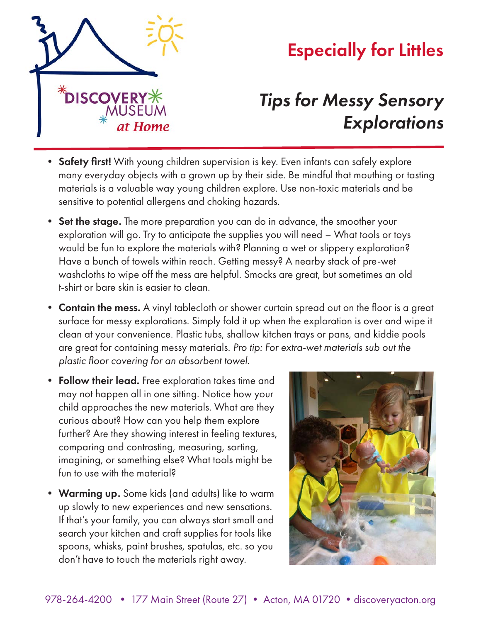

## Especially for Littles

## *Tips for Messy Sensory Explorations*

- Safety first! With young children supervision is key. Even infants can safely explore many everyday objects with a grown up by their side. Be mindful that mouthing or tasting materials is a valuable way young children explore. Use non-toxic materials and be sensitive to potential allergens and choking hazards.
- Set the stage. The more preparation you can do in advance, the smoother your exploration will go. Try to anticipate the supplies you will need – What tools or toys would be fun to explore the materials with? Planning a wet or slippery exploration? Have a bunch of towels within reach. Getting messy? A nearby stack of pre-wet washcloths to wipe off the mess are helpful. Smocks are great, but sometimes an old t-shirt or bare skin is easier to clean.
- Contain the mess. A vinyl tablecloth or shower curtain spread out on the floor is a great surface for messy explorations. Simply fold it up when the exploration is over and wipe it clean at your convenience. Plastic tubs, shallow kitchen trays or pans, and kiddie pools are great for containing messy materials. *Pro tip: For extra-wet materials sub out the plastic floor covering for an absorbent towel.*
- Follow their lead. Free exploration takes time and may not happen all in one sitting. Notice how your child approaches the new materials. What are they curious about? How can you help them explore further? Are they showing interest in feeling textures, comparing and contrasting, measuring, sorting, imagining, or something else? What tools might be fun to use with the material?
- **Warming up.** Some kids (and adults) like to warm up slowly to new experiences and new sensations. If that's your family, you can always start small and search your kitchen and craft supplies for tools like spoons, whisks, paint brushes, spatulas, etc. so you don't have to touch the materials right away.